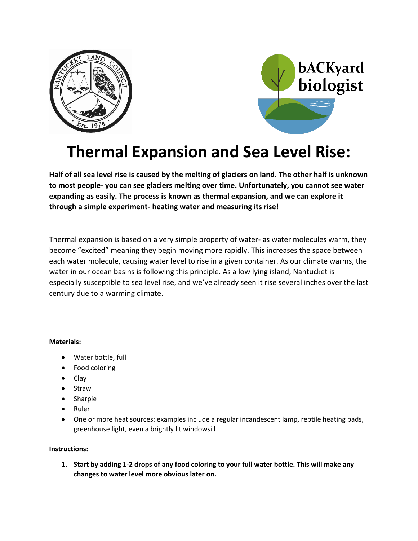



# **Thermal Expansion and Sea Level Rise:**

**Half of all sea level rise is caused by the melting of glaciers on land. The other half is unknown to most people- you can see glaciers melting over time. Unfortunately, you cannot see water expanding as easily. The process is known as thermal expansion, and we can explore it through a simple experiment- heating water and measuring its rise!**

Thermal expansion is based on a very simple property of water- as water molecules warm, they become "excited" meaning they begin moving more rapidly. This increases the space between each water molecule, causing water level to rise in a given container. As our climate warms, the water in our ocean basins is following this principle. As a low lying island, Nantucket is especially susceptible to sea level rise, and we've already seen it rise several inches over the last century due to a warming climate.

## **Materials:**

- Water bottle, full
- Food coloring
- Clay
- Straw
- Sharpie
- Ruler
- One or more heat sources: examples include a regular incandescent lamp, reptile heating pads, greenhouse light, even a brightly lit windowsill

## **Instructions:**

**1. Start by adding 1-2 drops of any food coloring to your full water bottle. This will make any changes to water level more obvious later on.**